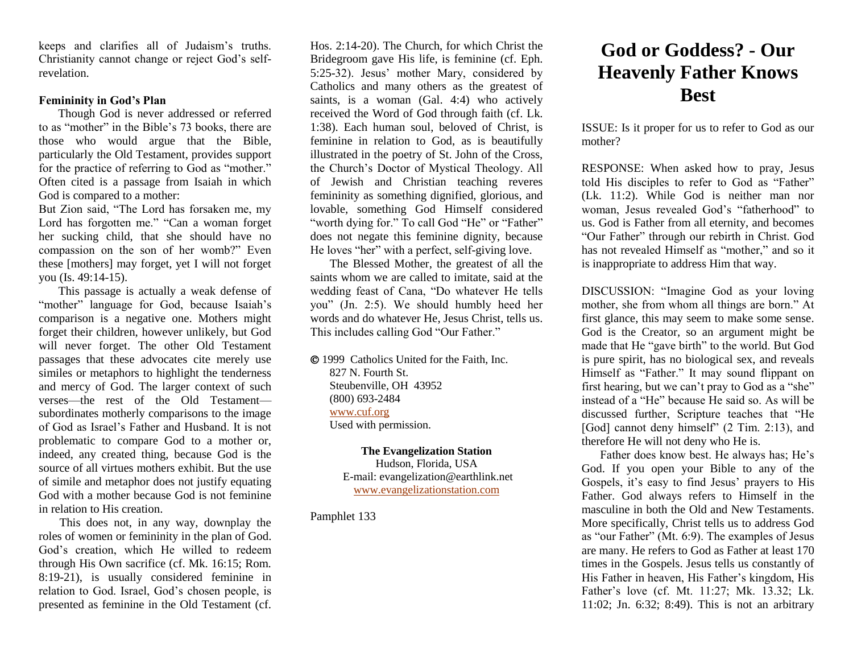keeps and clarifies all of Judaism's truths. Christianity cannot change or reject God's selfrevelation.

## **Femininity in God's Plan**

 Though God is never addressed or referred to as "mother" in the Bible's 73 books, there are those who would argue that the Bible, particularly the Old Testament, provides support for the practice of referring to God as "mother." Often cited is a passage from Isaiah in which God is compared to a mother:

But Zion said, "The Lord has forsaken me, my Lord has forgotten me." "Can a woman forget her sucking child, that she should have no compassion on the son of her womb?" Even these [mothers] may forget, yet I will not forget you (Is. 49:14-15).

 This passage is actually a weak defense of "mother" language for God, because Isaiah's comparison is a negative one. Mothers might forget their children, however unlikely, but God will never forget. The other Old Testament passages that these advocates cite merely use similes or metaphors to highlight the tenderness and mercy of God. The larger context of such verses—the rest of the Old Testament subordinates motherly comparisons to the image of God as Israel's Father and Husband. It is not problematic to compare God to a mother or, indeed, any created thing, because God is the source of all virtues mothers exhibit. But the use of simile and metaphor does not justify equating God with a mother because God is not feminine in relation to His creation.

 This does not, in any way, downplay the roles of women or femininity in the plan of God. God's creation, which He willed to redeem through His Own sacrifice (cf. Mk. 16:15; Rom. 8:19-21), is usually considered feminine in relation to God. Israel, God's chosen people, is presented as feminine in the Old Testament (cf.

Hos. 2:14-20). The Church, for which Christ the Bridegroom gave His life, is feminine (cf. Eph. 5:25-32). Jesus' mother Mary, considered by Catholics and many others as the greatest of saints, is a woman (Gal. 4:4) who actively received the Word of God through faith (cf. Lk. 1:38). Each human soul, beloved of Christ, is feminine in relation to God, as is beautifully illustrated in the poetry of St. John of the Cross, the Church's Doctor of Mystical Theology. All of Jewish and Christian teaching reveres femininity as something dignified, glorious, and lovable, something God Himself considered "worth dying for." To call God "He" or "Father" does not negate this feminine dignity, because He loves "her" with a perfect, self-giving love.

 The Blessed Mother, the greatest of all the saints whom we are called to imitate, said at the wedding feast of Cana, "Do whatever He tells you" (Jn. 2:5). We should humbly heed her words and do whatever He, Jesus Christ, tells us. This includes calling God "Our Father."

 1999 Catholics United for the Faith, Inc. 827 N. Fourth St. Steubenville, OH 43952 (800) 693-2484 [www.cuf.org](http://www.cuf.org/) Used with permission.

> **The Evangelization Station** Hudson, Florida, USA E-mail: evangelization@earthlink.net [www.evangelizationstation.com](http://www.pjpiisoe.org/)

Pamphlet 133

## **God or Goddess? - Our Heavenly Father Knows Best**

ISSUE: Is it proper for us to refer to God as our mother?

RESPONSE: When asked how to pray, Jesus told His disciples to refer to God as "Father" (Lk. 11:2). While God is neither man nor woman, Jesus revealed God's "fatherhood" to us. God is Father from all eternity, and becomes "Our Father" through our rebirth in Christ. God has not revealed Himself as "mother," and so it is inappropriate to address Him that way.

DISCUSSION: "Imagine God as your loving mother, she from whom all things are born." At first glance, this may seem to make some sense. God is the Creator, so an argument might be made that He "gave birth" to the world. But God is pure spirit, has no biological sex, and reveals Himself as "Father." It may sound flippant on first hearing, but we can't pray to God as a "she" instead of a "He" because He said so. As will be discussed further, Scripture teaches that "He [God] cannot deny himself" (2 Tim. 2:13), and therefore He will not deny who He is.

 Father does know best. He always has; He's God. If you open your Bible to any of the Gospels, it's easy to find Jesus' prayers to His Father. God always refers to Himself in the masculine in both the Old and New Testaments. More specifically, Christ tells us to address God as "our Father" (Mt. 6:9). The examples of Jesus are many. He refers to God as Father at least 170 times in the Gospels. Jesus tells us constantly of His Father in heaven, His Father's kingdom, His Father's love (cf. Mt. 11:27; Mk. 13.32; Lk. 11:02; Jn. 6:32; 8:49). This is not an arbitrary